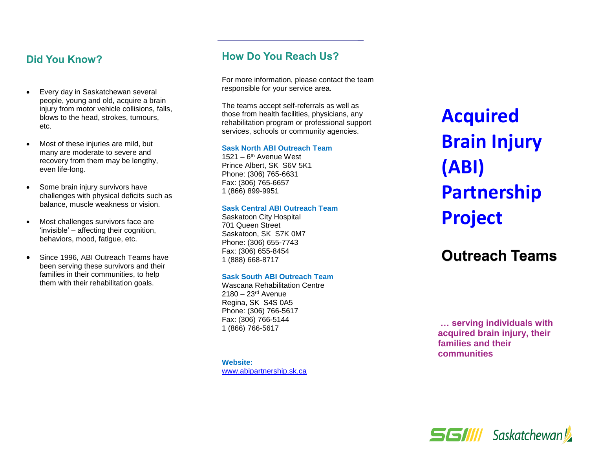## **Did You Know?**

- Every day in Saskatchewan several people, young and old, acquire a brain injury from motor vehicle collisions, falls, blows to the head, strokes, tumours, etc.
- Most of these injuries are mild, but many are moderate to severe and recovery from them may be lengthy, even life -long.
- Some brain injury survivors have challenges with physical deficits such as balance, muscle weakness or vision.
- Most challenges survivors face are 'invisible' – affecting their cognition, behaviors, mood, fatigue, etc.
- Since 1996, ABI Outreach Teams have been serving these survivors and their families in their communities, to help them with their rehabilitation goals.

## **How Do You Reach Us?**

For more information, please contact the team responsible for your service area .

The teams accept self -referrals as well as those from health facilities, physicians, any rehabilitation program or professional support services, schools or community agencies.

#### **Sask North ABI Outreach Team**

1521 – 6<sup>th</sup> Avenue West Prince Albert, SK S6V 5K1 Phone: (306) 765 -6631 Fax: (306) 765 -6657 1 (866) 899 -9951

#### **Sask Central ABI Outreach Team**

Saskatoon City Hospital 701 Queen Street Saskatoon, SK S7K 0M7 Phone: (306) 655 -7743 Fax: (306) 655 -8454 1 (888) 668 -8717

#### **Sask South ABI Outreach Team**

Wascana Rehabilitation Centr e 2180 – 23<sup>rd</sup> Avenue Regina, SK S4S 0A5 Phone: (306) 766 -5617 Fax: (306) 766 -5144 1 (866) 766 -5617

**Website:**  [www.abipartnership.sk.ca](file://///p-v-1082.health.hin.sk.ca/ccsbcom$/Acquired%20Brain%20Injury/Education%20and%20Prevention/pamphlets/2022%20revisions/www.abipartnership.sk.ca) **Acquired Brain Injury (ABI) Partnership Project**

# **Outreach Teams**

**… serving individuals with acquired brain injury, their families and their communities**